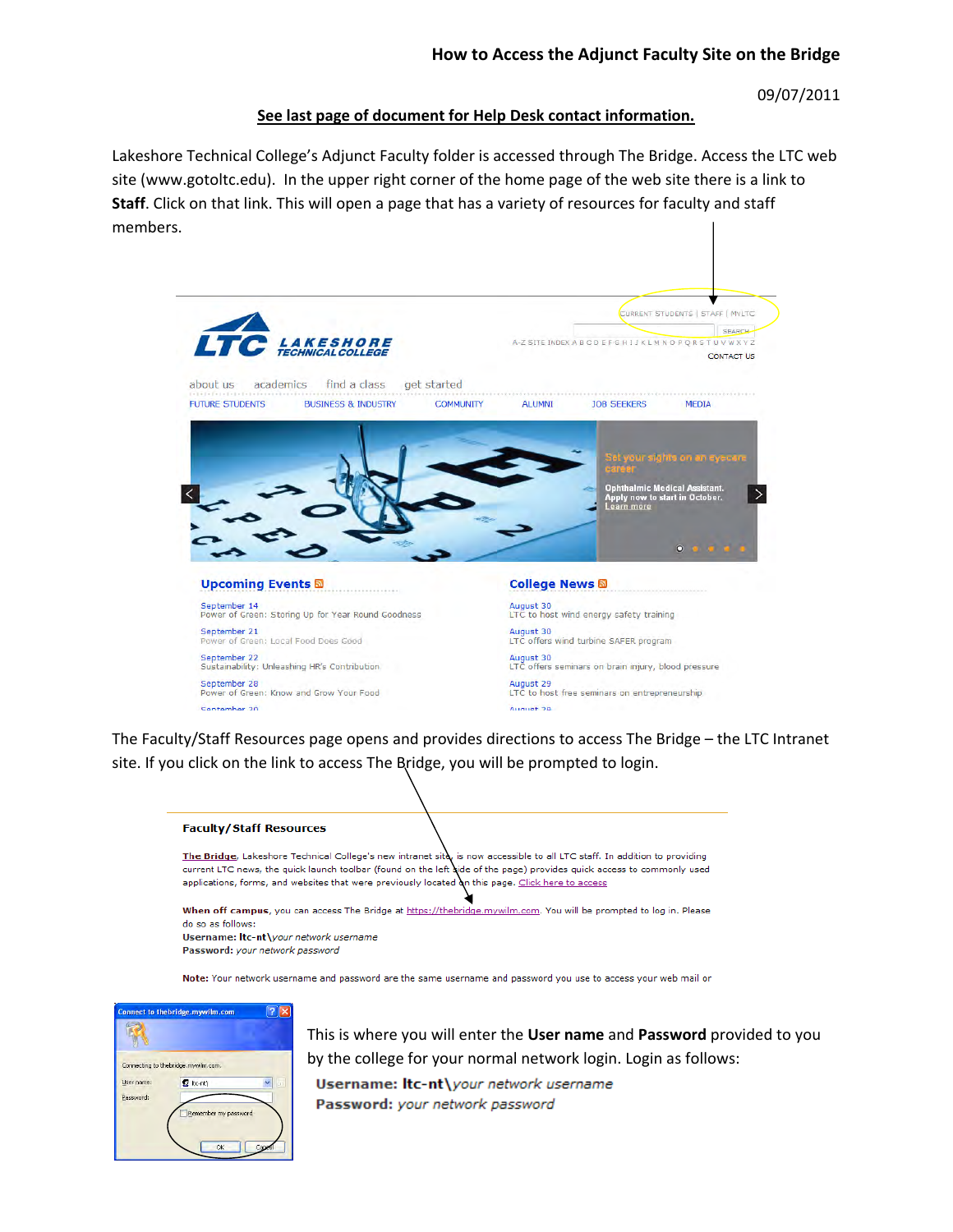09/07/2011

## **See last page of document for Help Desk contact information.**

 Lakeshore Technical College's Adjunct Faculty folder is accessed through The Bridge. Access the LTC web site (www.gotoltc.edu). In the upper right corner of the home page of the web site there is a link to **Staff**. Click on that link. This will open a page that has a variety of resources for faculty and staff members.



 The Faculty/Staff Resources page opens and provides directions to access The Bridge – the LTC Intranet site. If you click on the link to access The Bridge, you will be prompted to login.



The Bridge, Lakeshore Technical College's new intranet sita, is now accessible to all LTC staff. In addition to providing current LTC news, the quick launch toolbar (found on the left aide of the page) provides quick access to commonly used applications, forms, and websites that were previously located on this page. Click here to access

When off campus, you can access The Bridge at https://thebridge.mywilm.com. You will be prompted to log in. Please do so as follows: Username: Itc-nt\your network username

Password: your network password

Note: Your network username and password are the same username and password you use to access your web mail or



 This is where you will enter the **User name** and **Password** provided to you by the college for your normal network login. Login as follows:Username: Itc-nt\your network username Password: your network password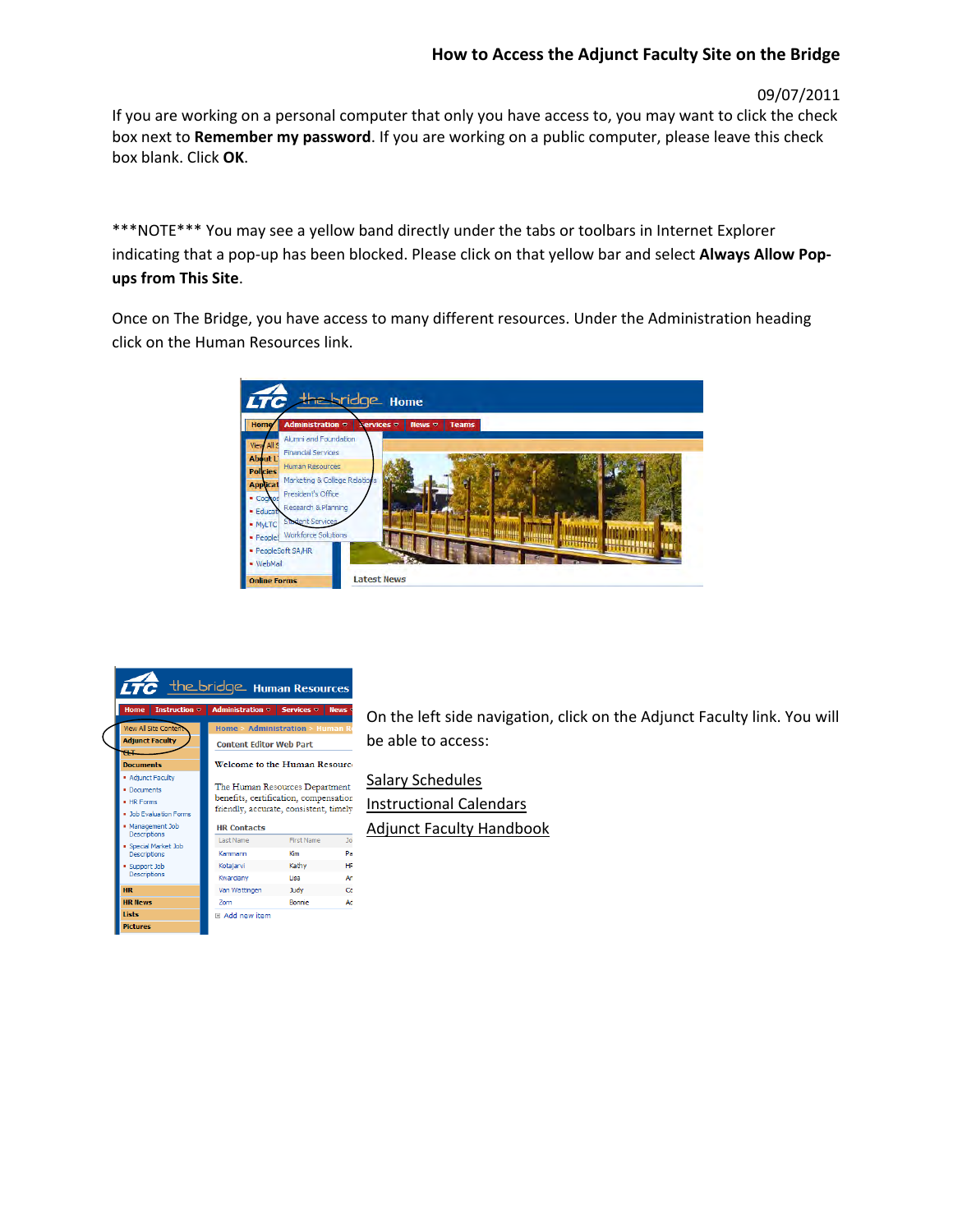## **How to Access the Adjunct Faculty Site on the Bridge**

09/07/2011

 If you are working on a personal computer that only you have access to, you may want to click the check  box next to **Remember my password**. If you are working on a public computer, please leave this check box blank. Click **OK**.

 \*\*\*NOTE\*\*\* You may see a yellow band directly under the tabs or toolbars in Internet Explorer  indicating that a pop‐up has been blocked. Please click on that yellow bar and select **Always Allow Pop‐ ups from This Site**.

 Once on The Bridge, you have access to many different resources. Under the Administration heading click on the Human Resources link.





 On the left side navigation, click on the Adjunct Faculty link. You will be able to access:

 Salary Schedules Instructional Calendars Adjunct Faculty Handbook